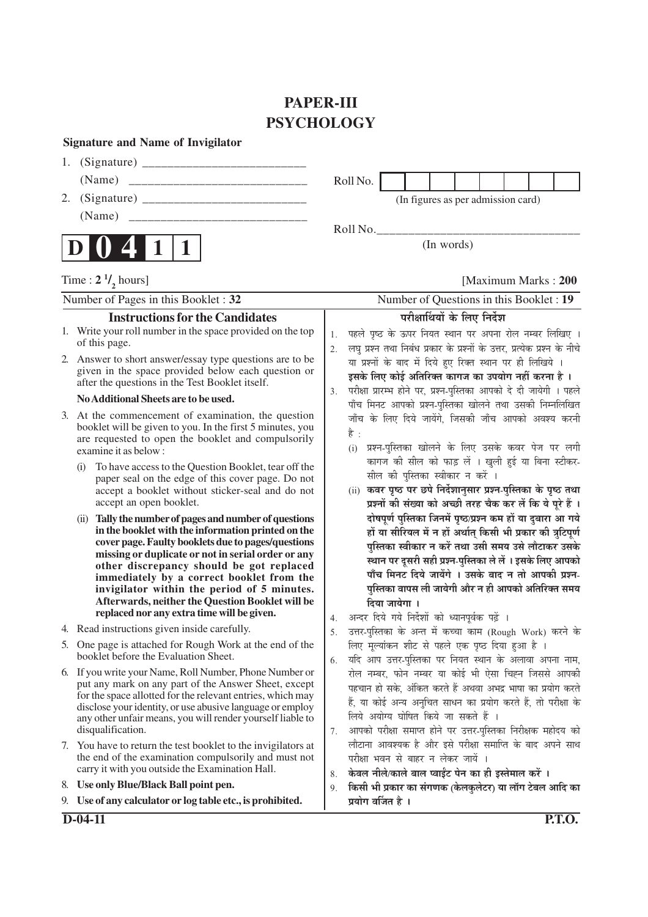# **PAPER-III PSYCHOLOGY**

#### **Signature and Name of Invigilator**

- 1. (Signature) \_\_\_\_\_\_\_\_\_\_\_\_\_\_\_\_\_\_\_\_\_\_\_\_\_\_
- 



#### **/** hours]

|    | (Name)                                                                                                             |                                    | Roll No. |               |            |                                                                                                                                     |                     |  |
|----|--------------------------------------------------------------------------------------------------------------------|------------------------------------|----------|---------------|------------|-------------------------------------------------------------------------------------------------------------------------------------|---------------------|--|
| 2. |                                                                                                                    | (In figures as per admission card) |          |               |            |                                                                                                                                     |                     |  |
|    | (Name)                                                                                                             |                                    |          |               |            |                                                                                                                                     |                     |  |
|    |                                                                                                                    |                                    | Roll No. |               |            |                                                                                                                                     |                     |  |
|    |                                                                                                                    |                                    |          |               | (In words) |                                                                                                                                     |                     |  |
|    |                                                                                                                    |                                    |          |               |            |                                                                                                                                     |                     |  |
|    | Time : $2^{1/2}$ hours]                                                                                            |                                    |          |               |            |                                                                                                                                     | [Maximum Marks: 200 |  |
|    | Number of Pages in this Booklet: 32                                                                                |                                    |          |               |            | Number of Questions in this Booklet: 19                                                                                             |                     |  |
|    | <b>Instructions for the Candidates</b>                                                                             |                                    |          |               |            | परीक्षार्थियों के लिए निर्देश                                                                                                       |                     |  |
|    | 1. Write your roll number in the space provided on the top<br>of this page.                                        | 1.<br>2.                           |          |               |            | पहले पृष्ठ के ऊपर नियत स्थान पर अपना रोल नम्बर लिखिए ।<br>लघु प्रश्न तथा निबंध प्रकार के प्रश्नों के उत्तर, प्रत्येक प्रश्न के नीचे |                     |  |
| 2. | Answer to short answer/essay type questions are to be                                                              |                                    |          |               |            | या प्रश्नों के बाद में दिये हुए रिक्त स्थान पर ही लिखिये ।                                                                          |                     |  |
|    | given in the space provided below each question or<br>after the questions in the Test Booklet itself.              |                                    |          |               |            | इसके लिए कोई अतिरिक्त कागज का उपयोग नहीं करना है ।                                                                                  |                     |  |
|    | No Additional Sheets are to be used.                                                                               | 3.                                 |          |               |            | परीक्षा प्रारम्भ होने पर, प्रश्न-पुस्तिका आपको दे दी जायेगी । पहले                                                                  |                     |  |
| 3. | At the commencement of examination, the question                                                                   |                                    |          |               |            | पाँच मिनट आपको प्रश्न-पुस्तिका खोलने तथा उसकी निम्नलिखित<br>जाँच के लिए दिये जायेंगे, जिसकी जाँच आपको अवश्य करनी                    |                     |  |
|    | booklet will be given to you. In the first 5 minutes, you                                                          |                                    | है :     |               |            |                                                                                                                                     |                     |  |
|    | are requested to open the booklet and compulsorily<br>examine it as below:                                         |                                    | (i)      |               |            | प्रश्न-पुस्तिका खोलने के लिए उसके कवर पेज पर लगी                                                                                    |                     |  |
|    | To have access to the Question Booklet, tear off the                                                               |                                    |          |               |            | कागज की सील को फाड़ लें । खुली हुई या बिना स्टीकर-                                                                                  |                     |  |
|    | (1)<br>paper seal on the edge of this cover page. Do not                                                           |                                    |          |               |            | सील की पुस्तिका स्वीकार न करें ।                                                                                                    |                     |  |
|    | accept a booklet without sticker-seal and do not                                                                   |                                    |          |               |            | (ii) कवर पृष्ठ पर छपे निर्देशानुसार प्रश्न-पुस्तिका के पृष्ठ तथा                                                                    |                     |  |
|    | accept an open booklet.                                                                                            |                                    |          |               |            | प्रश्नों की संख्या को अच्छी तरह चैक कर लें कि ये पूरे हैं ।                                                                         |                     |  |
|    | Tally the number of pages and number of questions<br>(11)<br>in the booklet with the information printed on the    |                                    |          |               |            | दोषपूर्ण पुस्तिका जिनमें पृष्ठ/प्रश्न कम हों या दुबारा आ गये                                                                        |                     |  |
|    | cover page. Faulty booklets due to pages/questions                                                                 |                                    |          |               |            | हों या सीरियल में न हों अर्थात् किसी भी प्रकार की त्रुटिपूर्ण<br>पुस्तिका स्वीकार न करें तथा उसी समय उसे लौटाकर उसके                |                     |  |
|    | missing or duplicate or not in serial order or any                                                                 |                                    |          |               |            | स्थान पर दूसरी सही प्रश्न-पुस्तिका ले लें । इसके लिए आपको                                                                           |                     |  |
|    | other discrepancy should be got replaced<br>immediately by a correct booklet from the                              |                                    |          |               |            | पाँच मिनट दिये जायेंगे । उसके बाद न तो आपकी प्रश्न-                                                                                 |                     |  |
|    | invigilator within the period of 5 minutes.                                                                        |                                    |          |               |            | पुस्तिका वापस ली जायेगी और न ही आपको अतिरिक्त समय                                                                                   |                     |  |
|    | Afterwards, neither the Question Booklet will be<br>replaced nor any extra time will be given.                     |                                    |          | दिया जायेगा । |            |                                                                                                                                     |                     |  |
|    | 4. Read instructions given inside carefully.                                                                       | 4.                                 |          |               |            | अन्दर दिये गये निर्देशों को ध्यानपूर्वक पढ़ें ।                                                                                     |                     |  |
| 5. | One page is attached for Rough Work at the end of the                                                              | 5.                                 |          |               |            | उत्तर-पुस्तिका के अन्त में कच्चा काम (Rough Work) करने के<br>लिए मूल्यांकन शीट से पहले एक पृष्ठ दिया हुआ है ।                       |                     |  |
|    | booklet before the Evaluation Sheet.                                                                               | 6.                                 |          |               |            | यदि आप उत्तर-पुस्तिका पर नियत स्थान के अलावा अपना नाम,                                                                              |                     |  |
|    | 6. If you write your Name, Roll Number, Phone Number or                                                            |                                    |          |               |            | रोल नम्बर, फोन नम्बर या कोई भी ऐसा चिह्न जिससे आपकी                                                                                 |                     |  |
|    | put any mark on any part of the Answer Sheet, except<br>for the space allotted for the relevant entries, which may |                                    |          |               |            | पहचान हो सके, अंकित करते हैं अथवा अभद्र भाषा का प्रयोग करते                                                                         |                     |  |
|    | disclose your identity, or use abusive language or employ                                                          |                                    |          |               |            | हैं, या कोई अन्य अनुचित साधन का प्रयोग करते हैं, तो परीक्षा के                                                                      |                     |  |
|    | any other unfair means, you will render yourself liable to                                                         |                                    |          |               |            | लिये अयोग्य घोषित किये जा सकते हैं ।                                                                                                |                     |  |
|    | disqualification.                                                                                                  | 7.                                 |          |               |            | आपको परीक्षा समाप्त होने पर उत्तर-पुस्तिका निरीक्षक महोदय को<br>लौटाना आवश्यक है और इसे परीक्षा समाप्ति के बाद अपने साथ             |                     |  |
| 7. | You have to return the test booklet to the invigilators at<br>the end of the examination compulsorily and must not |                                    |          |               |            | परीक्षा भवन से बाहर न लेकर जायें ।                                                                                                  |                     |  |
|    | carry it with you outside the Examination Hall.                                                                    | 8.                                 |          |               |            | केवल नीले/काले बाल प्वाईंट पेन का ही इस्तेमाल करें ।                                                                                |                     |  |

- 8. **Use only Blue/Black Ball point pen.**
- 9. **Use of any calculator or log table etc., is prohibited.**

9. किसी भी प्रकार का संगणक (केलकुलेटर) या लॉग टेबल आदि का

प्रयोग वर्जित है ।

**D-04-11 P.T.O.**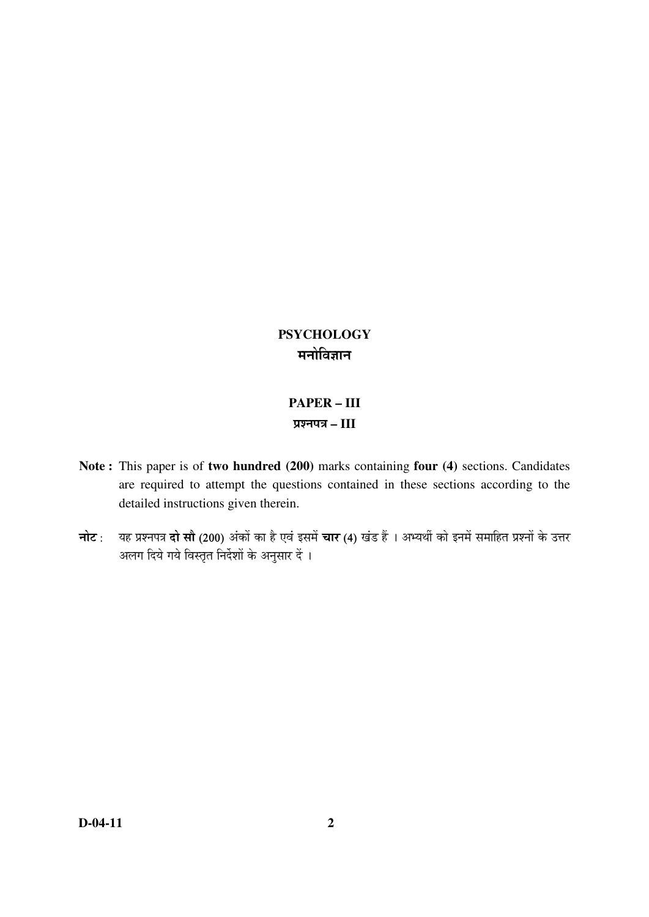# **PSYCHOLOGY**  मनोविज्ञान

# **PAPER – III**  ¯ÖÏ¿−Ö¯Ö¡Ö **– III**

- **Note :** This paper is of **two hundred (200)** marks containing **four (4)** sections. Candidates are required to attempt the questions contained in these sections according to the detailed instructions given therein.
- **नोट** : यह प्रश्नपत्र **दो सौ (200)** अंकों का है एवं इसमें **चार (**4) खंड हैं । अभ्यर्थी को इनमें समाहित प्रश्नों के उत्तर अलग दिये गये विस्तृत निर्द<mark>ेशों</mark> के अनुसार दें ।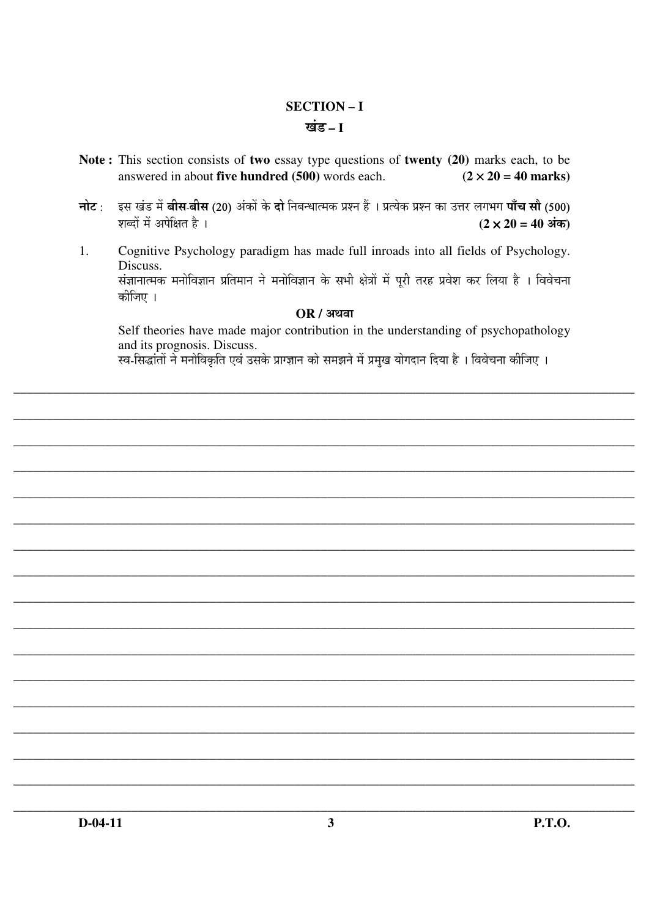# **SECTION-I** खंड-1

- Note: This section consists of two essay type questions of twenty (20) marks each, to be answered in about five hundred (500) words each.  $(2 \times 20 = 40$  marks)
- नोट: इस खंड में **बीस बीस** (20) अंकों के **दो** निबन्धात्मक प्रश्न हैं । प्रत्येक प्रश्न का उत्तर लगभग **पाँच सौ** (500) शब्दों में अपेक्षित है ।  $(2 \times 20 = 40 \text{ sign})$
- $1.$ Cognitive Psychology paradigm has made full inroads into all fields of Psychology. Discuss. संज्ञानात्मक मनोविज्ञान प्रतिमान ने मनोविज्ञान के सभी क्षेत्रों में पुरी तरह प्रवेश कर लिया है । विवेचना कोजिए ।

### $OR / 327$

Self theories have made major contribution in the understanding of psychopathology and its prognosis. Discuss.

स्व-सिद्धांतों ने मनोविकृति एवं उसके प्राग्ज्ञान को समझने में प्रमुख योगदान दिया है । विवेचना कीजिए ।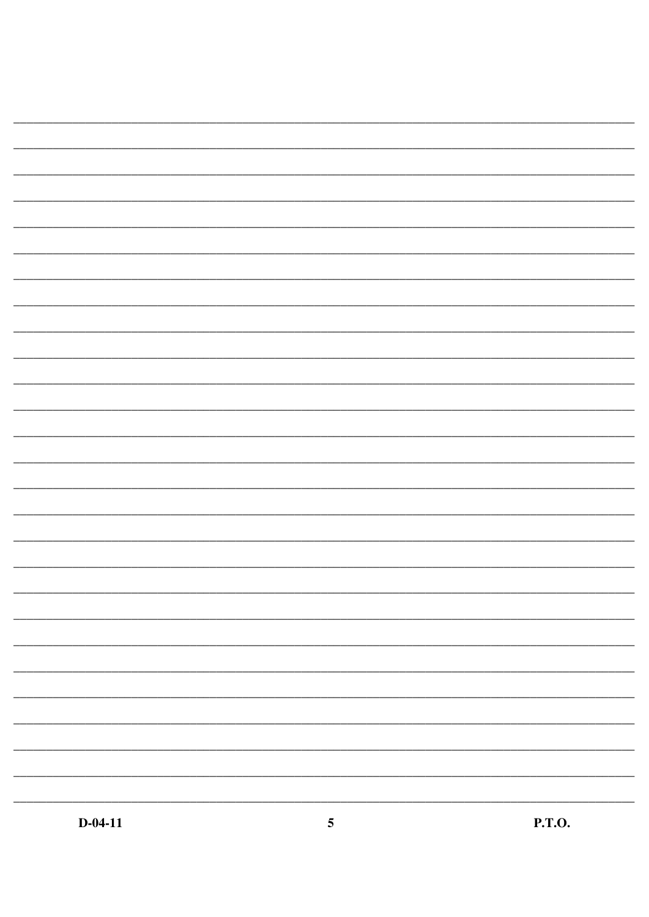$\overline{\phantom{a}}$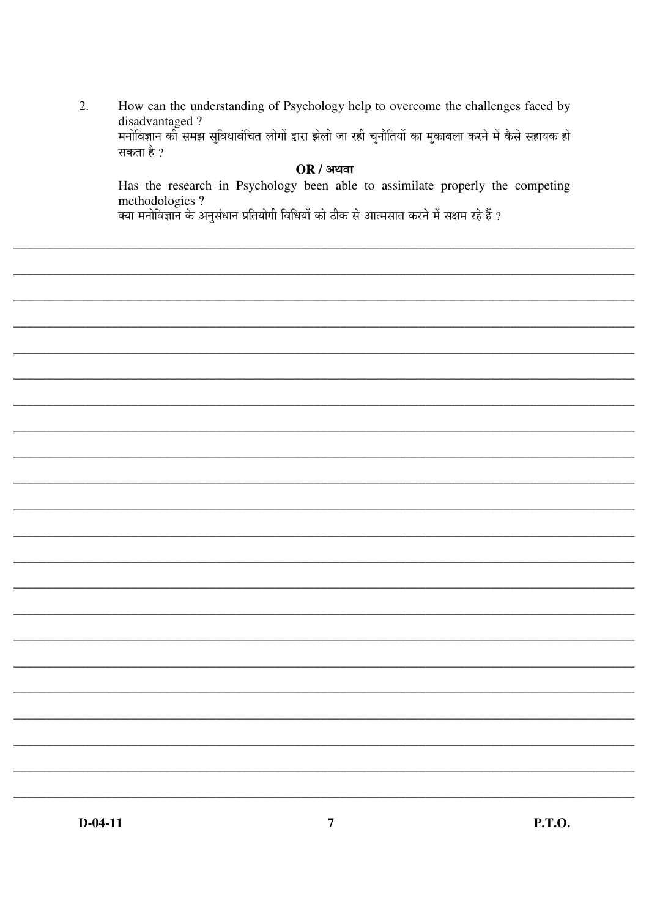How can the understanding of Psychology help to overcome the challenges faced by  $\overline{2}$ . disadvantaged? सकता है ?

#### $OR/$ अथवा

Has the research in Psychology been able to assimilate properly the competing methodologies?

माट्यालेकराटहुन्छ :<br>क्या मनोविज्ञान के अनुसंधान प्रतियोगी विधियों को ठीक से आत्मसात करने में सक्षम रहे हैं ?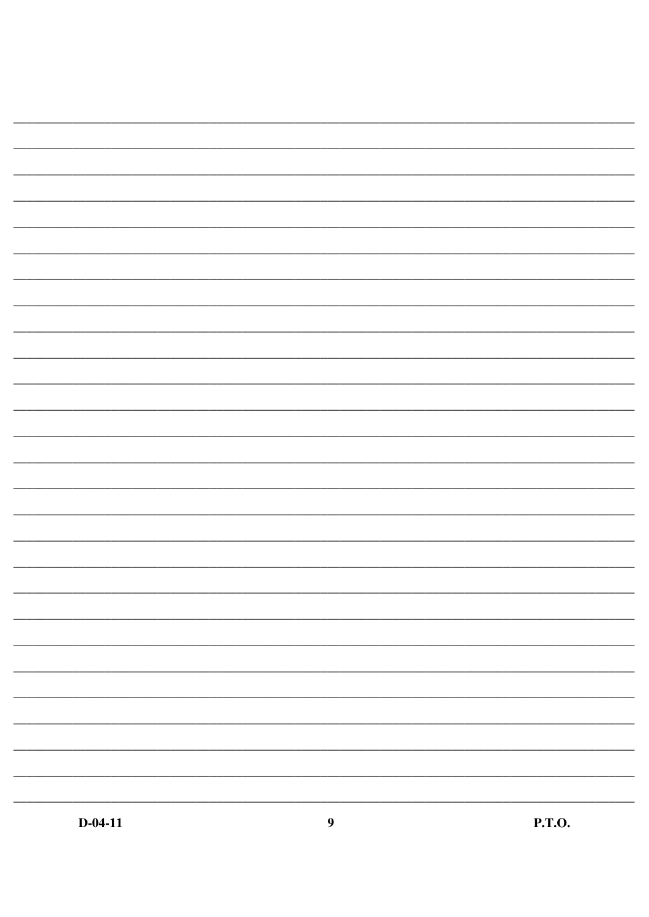$\overline{\phantom{a}}$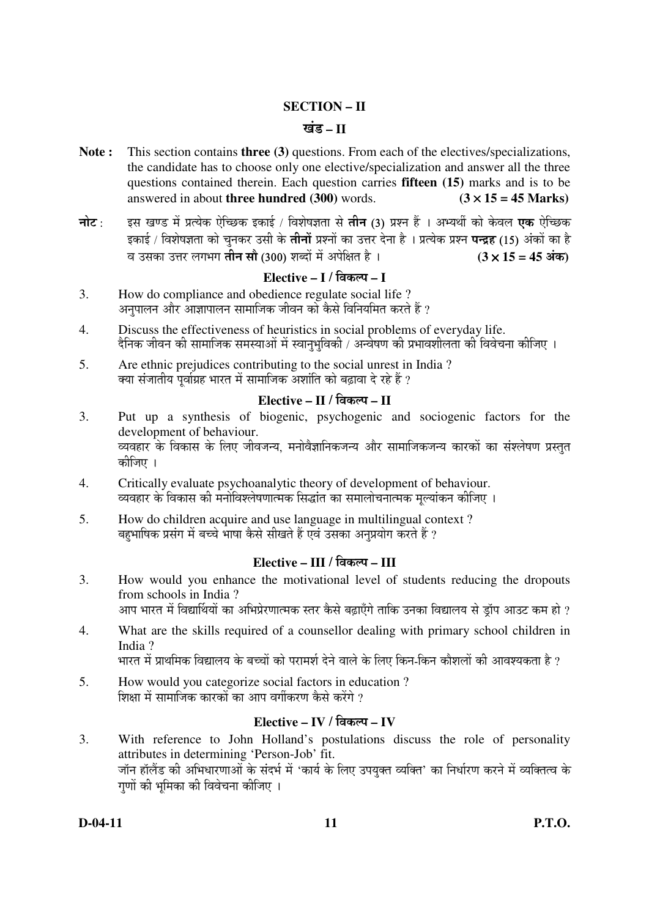### **SECTION – II**

## <u>खंड – II</u>

- **Note :** This section contains **three (3)** questions. From each of the electives/specializations, the candidate has to choose only one elective/specialization and answer all the three questions contained therein. Each question carries **fifteen (15)** marks and is to be answered in about **three hundred (300)** words. **(** $3 \times 15 = 45$  **Marks)**
- **नोट** : इस खण्ड में प्रत्येक ऐच्छिक इकाई / विशेषज्ञता से **तीन (3)** प्रश्न हैं । अभ्यर्थी को केवल **एक** ऐच्छिक .<br>इकाई / विशेषज्ञता को चुनकर उसी के **तीनों** प्रश्नों का उत्तर देना है । प्रत्येक प्रश्न **पन्द्रह (15)** अंकों का है ¾Ö ˆÃÖ-úÖ ˆ¢Ö¸ü »ÖÖ³ÖÖ ŸÖß−Ö ÃÖÖî (300) ¿Ö²¤üÖë ´Öë †¯Öê×ÖŸÖ Æîü … **(3** × **15 = 45** †ÓÛú**)**

## $E$ lective – **I** / विकल्प – **I**

- 3. How do compliance and obedience regulate social life ? अनपालन और आज्ञापालन सामाजिक जीवन को कैसे विनियमित करते हैं ?
- 4. Discuss the effectiveness of heuristics in social problems of everyday life. दैनिक जीवन की सामाजिक समस्याओं में स्वानभविकी / अन्वेषण की प्रभावशीलता की विवेचना कीजिए ।
- 5. Are ethnic prejudices contributing to the social unrest in India ? क्या संजातीय पर्वाग्रह भारत में सामाजिक अशांति को बढावा दे रहे हैं ?

## <u>Elective – II</u> / विकल्प – II

- 3. Put up a synthesis of biogenic, psychogenic and sociogenic factors for the development of behaviour. व्यवहार के विकास के लिए जीवजन्य, मनोवैज्ञानिकजन्य और सामाजिकजन्य कारकों का संश्लेषण प्रस्तुत कोजिए ।
- 4. Critically evaluate psychoanalytic theory of development of behaviour. ्व्यवहार के विकास की मनोविश्लेषणात्मक सिद्धांत का समालोचनात्मक मल्यांकन कीजिए ।
- 5. How do children acquire and use language in multilingual context ? बहभाषिक प्रसंग में बच्चे भाषा कैसे सीखते हैं एवं उसका अनुप्रयोग करते हैं ?

### <u>Elective – III / विकल्प – III</u>

- 3. How would you enhance the motivational level of students reducing the dropouts from schools in India ? आप भारत में विद्यार्थियों का अभिप्रेरणात्मक स्तर कैसे बढ़ाएँगे ताकि उनका विद्यालय से ड्रॉप आउट कम हो ?
- 4. What are the skills required of a counsellor dealing with primary school children in India ? भारत में प्राथमिक विद्यालय के बच्चों को परामर्श देने वाले के लिए किन-किन कौशलों की आवश्यकता है ?
- 5. How would you categorize social factors in education ?

शिक्षा में सामाजिक कारकोँ का आप वर्गीकरण कैसे करेंगे ?

# <u>Elective – IV</u> / विकल्प – IV

3. With reference to John Holland's postulations discuss the role of personality attributes in determining 'Person-Job' fit. जॉन हॉलैंड की अभिधारणाओं के संदर्भ में 'कार्य के लिए उपयुक्त व्यक्ति' का निर्धारण करने में व्यक्तित्व के गणों की भमिका की विवेचना कीजिए ।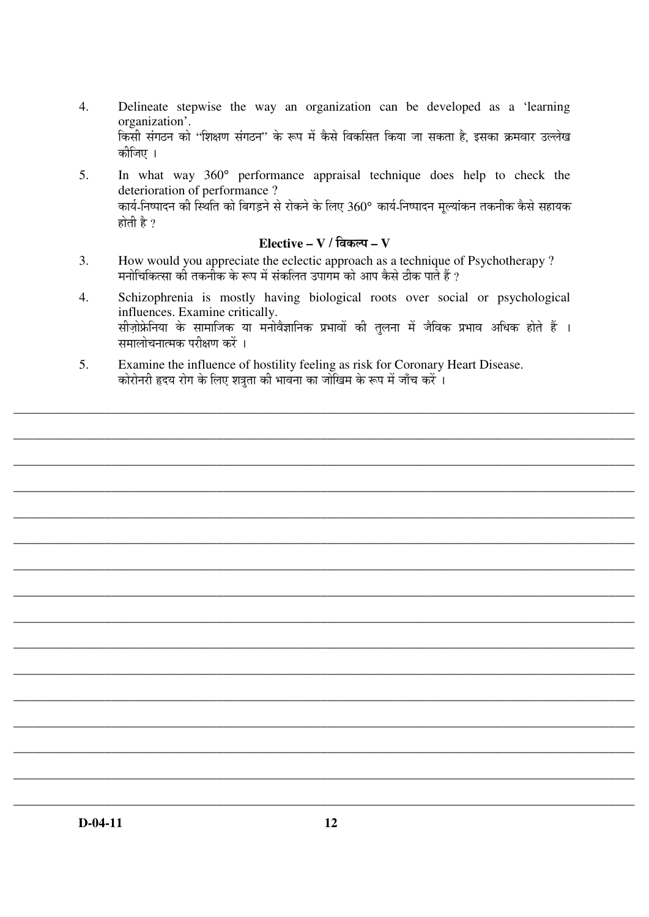- $\overline{4}$ . Delineate stepwise the way an organization can be developed as a 'learning organization'. किसी संगठन को ''शिक्षण संगठन'' के रूप में कैसे विकसित किया जा सकता है. इसका क्रमवार उल्लेख कीजिए ।
- 5. In what way 360° performance appraisal technique does help to check the deterioration of performance? कार्य-निष्पादन की स्थिति को बिगड़ने से रोकने के लिए 360° कार्य-निष्पादन मूल्यांकन तकनीक कैसे सहायक होती है ?

## Elective –  $V/$  विकल्प –  $V$

- $\overline{3}$ . How would you appreciate the eclectic approach as a technique of Psychotherapy? मनोचिकित्सा को तकनीक के रूप में संकलित उपागम को आप कैसे ठीक पाते हैं ?
- Schizophrenia is mostly having biological roots over social or psychological  $\overline{4}$ influences. Examine critically. सीज़ोफ्रेनिया के सामाजिक या मनोवैज्ञानिक प्रभावों की तुलना में जैविक प्रभाव अधिक होते हैं । समालोचनात्मक परीक्षण करें ।
- $5.$ Examine the influence of hostility feeling as risk for Coronary Heart Disease. कोरोनरी हृदय रोग के लिए शत्रता की भावना का जोखिम के रूप में जाँच करें ।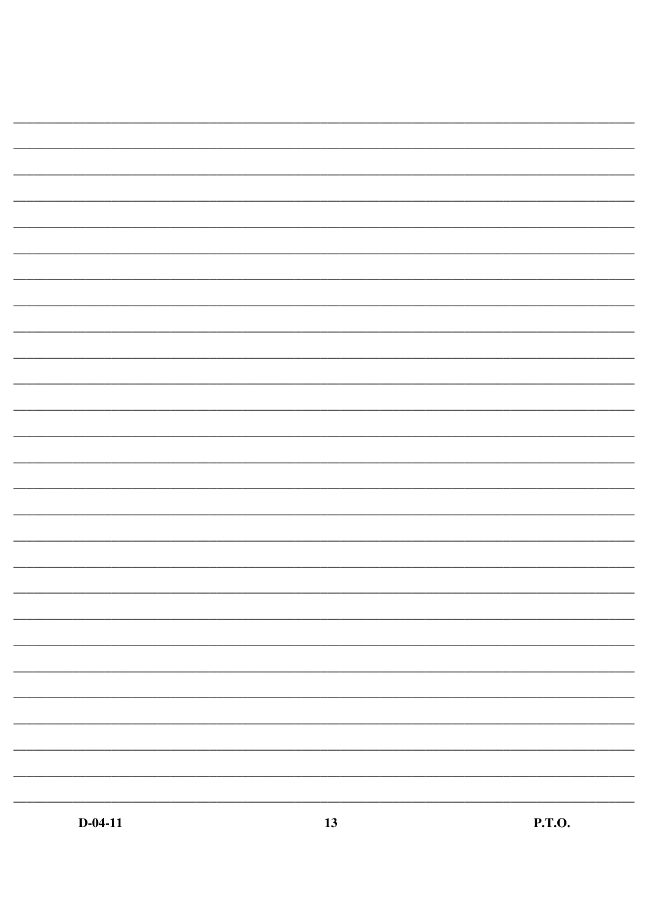|  | - |
|--|---|
|  |   |
|  |   |
|  |   |
|  |   |
|  |   |
|  |   |
|  |   |
|  |   |
|  |   |
|  |   |
|  |   |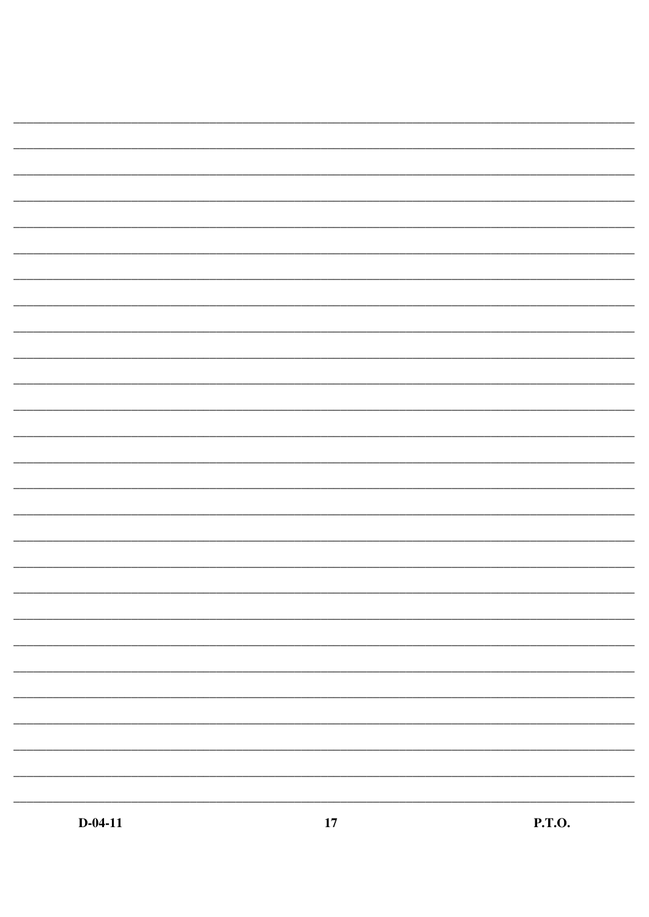| _________ | $\sim$ $\sim$ | $  -$ |
|-----------|---------------|-------|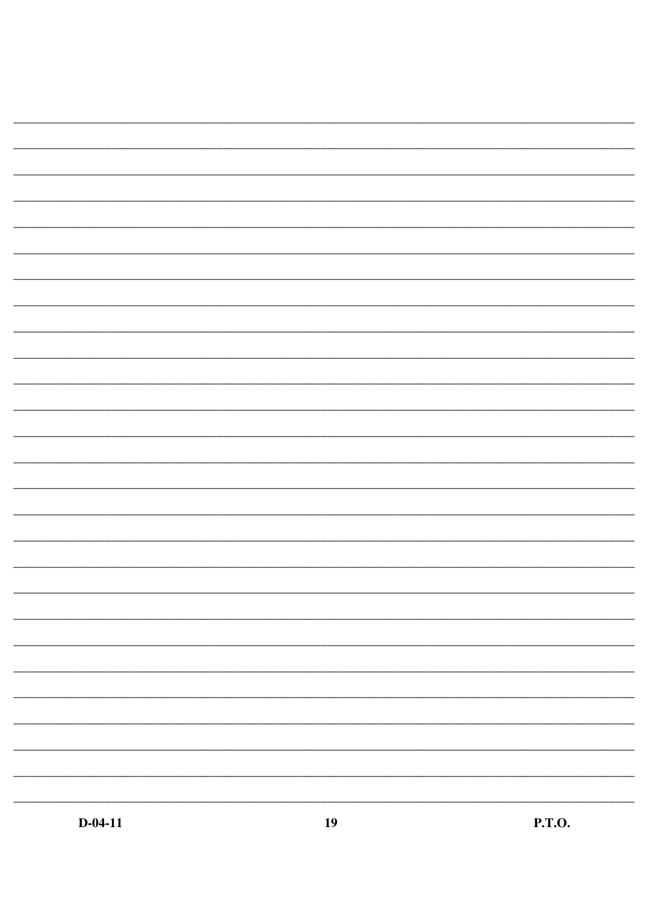| ∽ | в п |
|---|-----|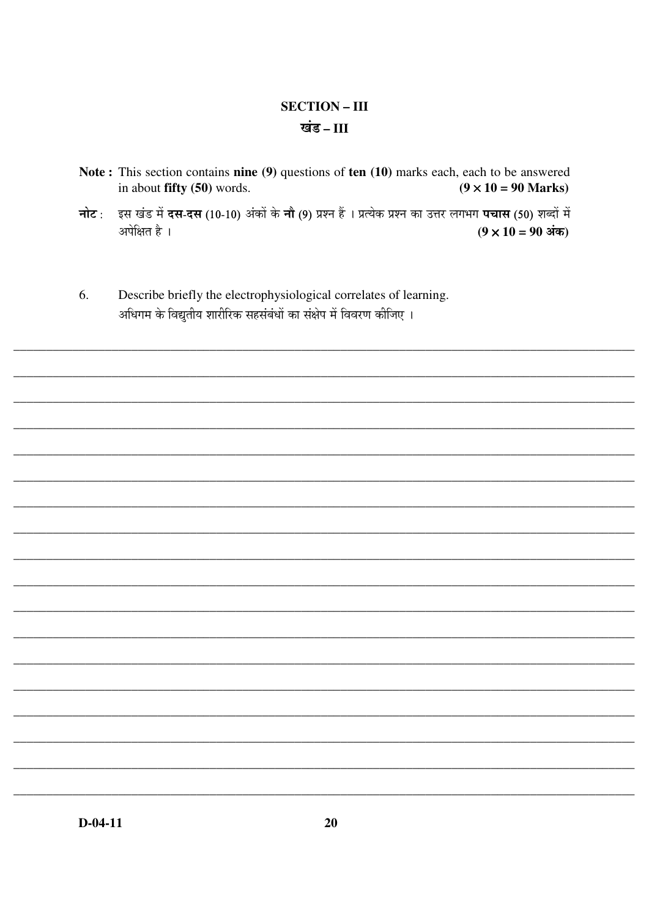# **SECTION-III** खंड - III

- Note: This section contains nine (9) questions of ten (10) marks each, each to be answered in about fifty (50) words.  $(9 \times 10 = 90$  Marks)
- इस खंड में **दस-दस** (10-10) अंकों के **नौ (9)** प्रश्न हैं । प्रत्येक प्रश्न का उत्तर लगभग **पचास (50)** शब्दों में नोट : अपेक्षित है ।  $(9 \times 10 = 90 \text{ sign})$
- $6<sub>l</sub>$ Describe briefly the electrophysiological correlates of learning. अधिगम के विद्युतीय शारीरिक सहसंबंधों का संक्षेप में विवरण कीजिए ।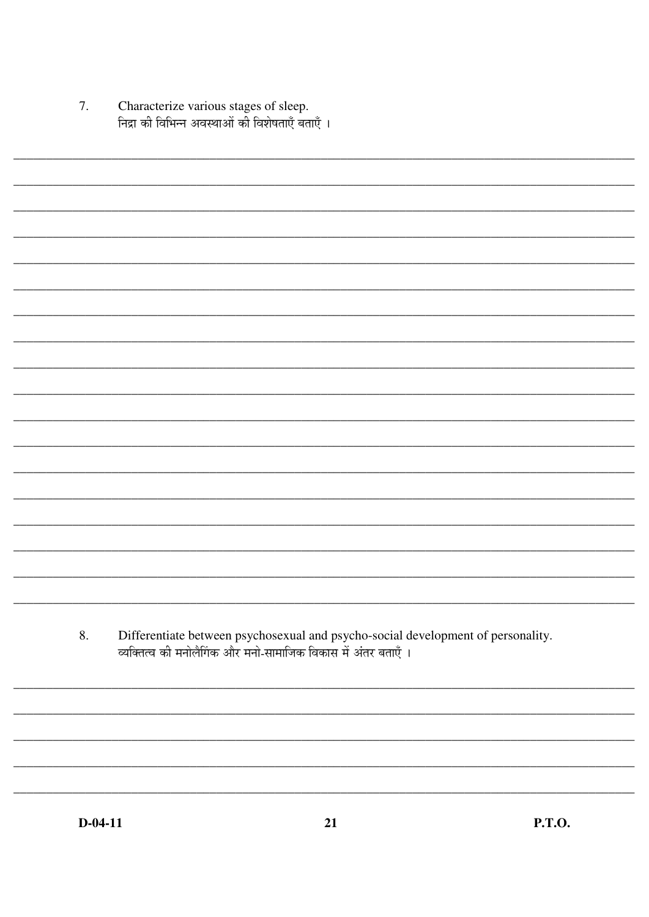| Characterize various stages of sleep.           |
|-------------------------------------------------|
| निद्रा की विभिन्न अवस्थाओं की विशेषताएँ बताएँ । |

Differentiate between psychosexual and psycho-social development of personality. 8. व्यक्तित्व की मनोलैगिक और मनो-सामाजिक विकास में अंतर बताएँ ।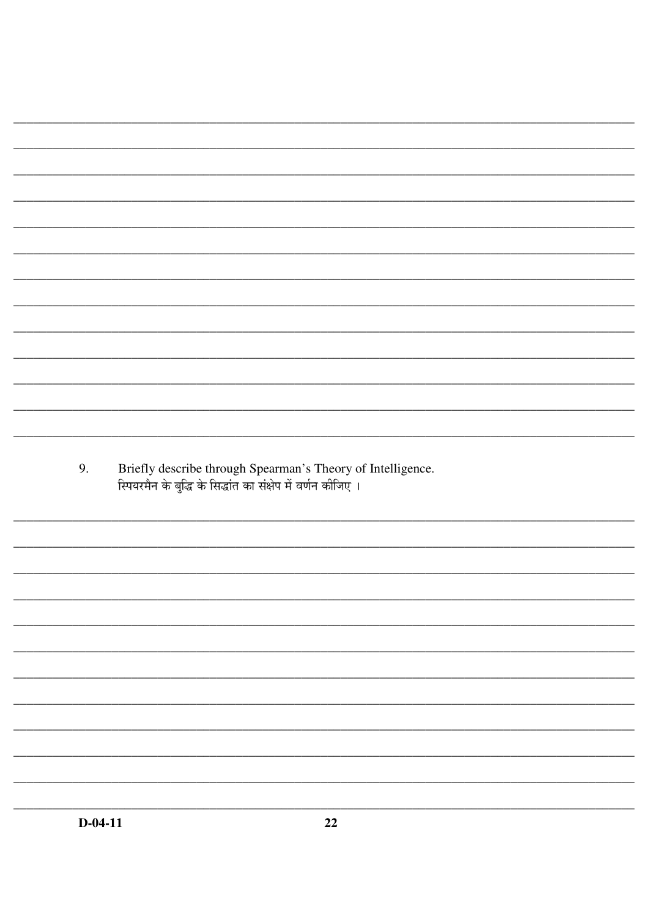Briefly describe through Spearman's Theory of Intelligence. 9. स्पियरमैन के बुद्धि के सिद्धांत का संक्षेप में वर्णन कीजिए ।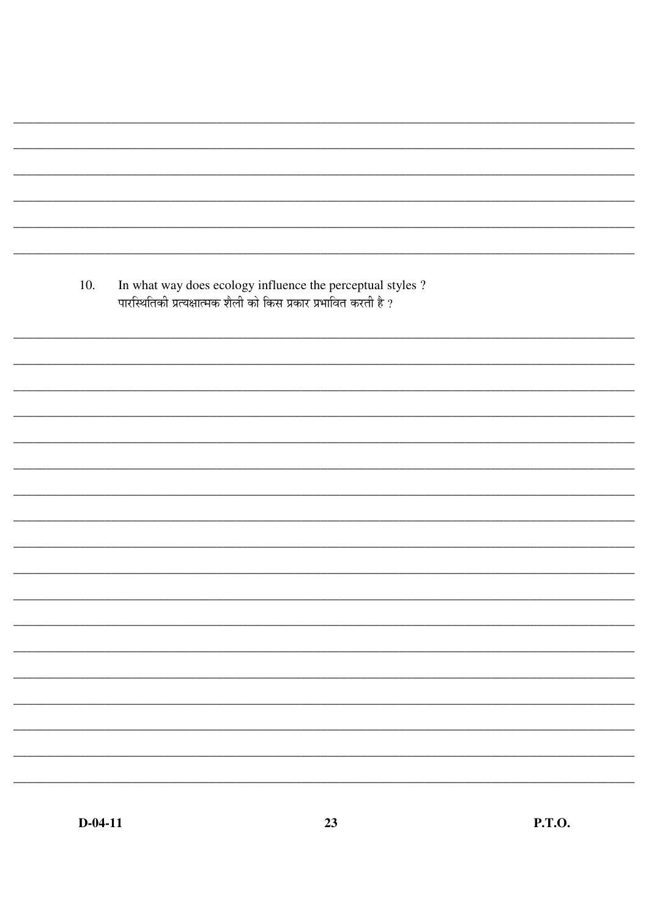In what way does ecology influence the perceptual styles ? 10. पारस्थितिकी प्रत्यक्षात्मक शैली को किस प्रकार प्रभावित करती है ?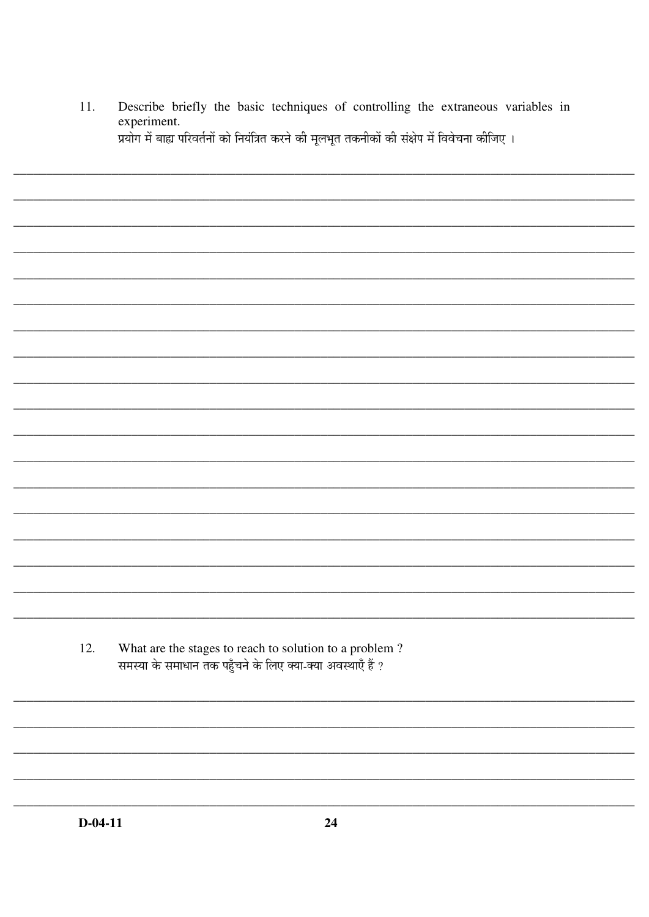Describe briefly the basic techniques of controlling the extraneous variables in 11. experiment. प्रयोग में बाह्य परिवर्तनों को नियंत्रित करने की मूलभूत तकनीकों की संक्षेप में विवेचना कीजिए ।

What are the stages to reach to solution to a problem? 12. समस्या के समाधान तक पहुँचने के लिए क्या-क्या अवस्थाएँ हैं ?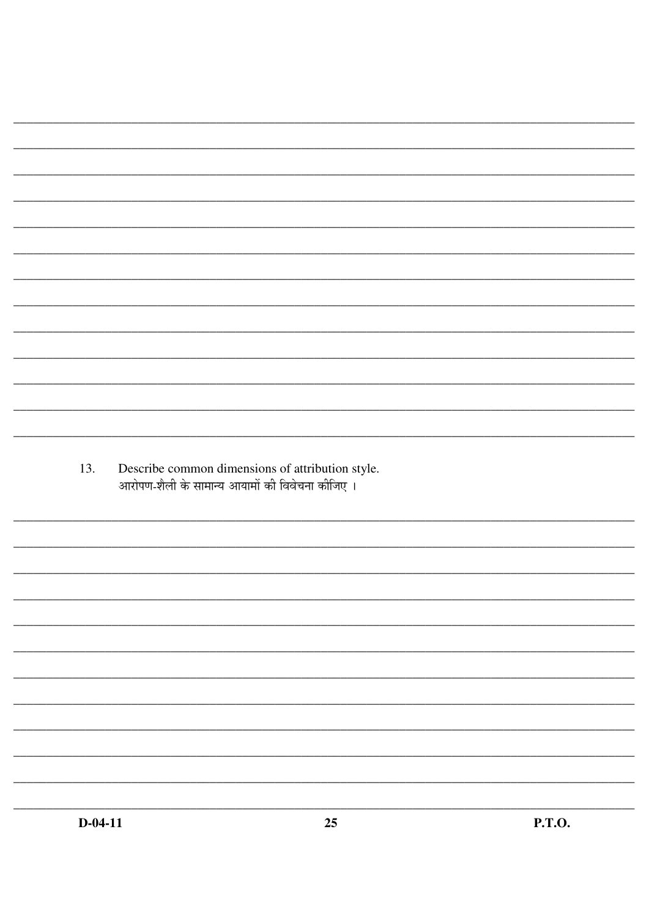Describe common dimensions of attribution style. 13. आरोपण-शैली के सामान्य आयामों की विवेचना कीजिए ।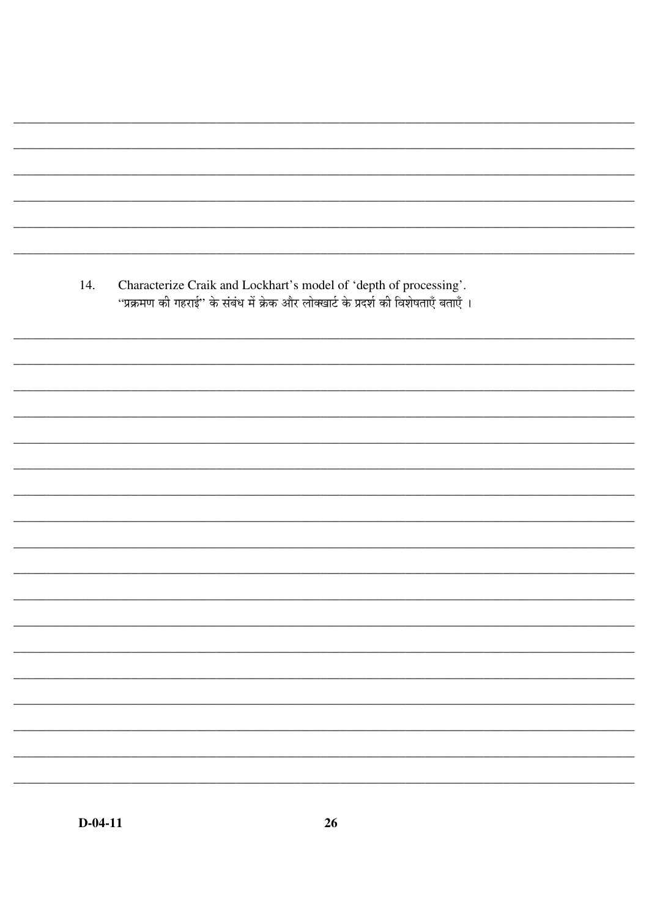Characterize Craik and Lockhart's model of 'depth of processing'. 14. ''प्रक्रमण की गहराई'' के संबंध में क्रेक और लोक्खार्ट के प्रदर्श की विशेषताएँ बताएँ ।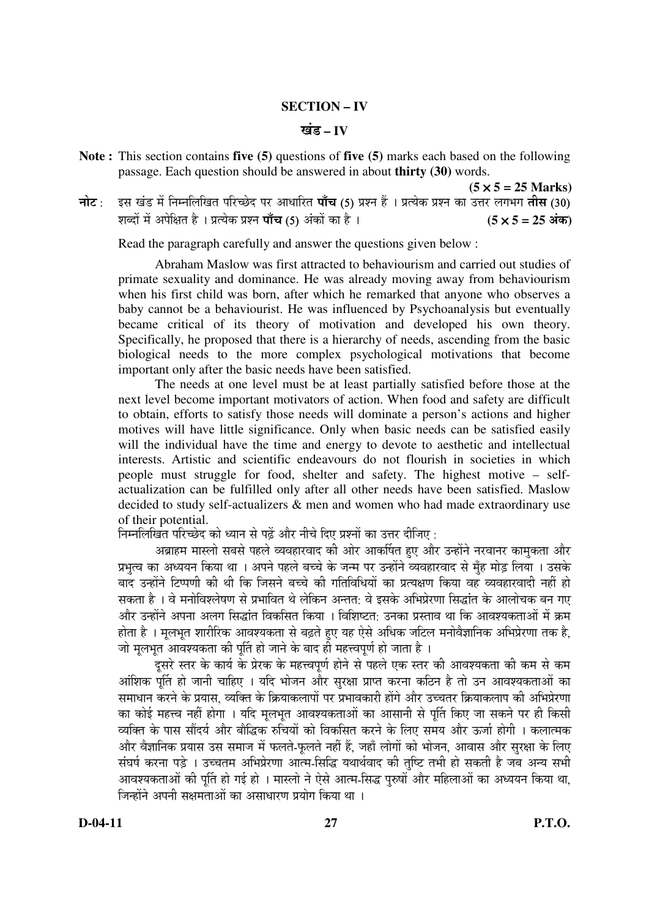#### **SECTION – IV**

#### <u>खंड – IV</u>

- **Note :** This section contains **five (5)** questions of **five (5)** marks each based on the following passage. Each question should be answered in about **thirty (30)** words.
- **(5** × **5 = 25 Marks)** −नोट : इस खंड में निम्नलिखित परिच्छेद पर आधारित **पाँच (5)** प्रश्न हैं । प्रत्येक प्रश्न का उत्तर लगभग **तीस (30)** ¿Ö²¤üÖë ´Öë †¯Öê×õÖŸÖ Æîü … ¯ÖÏŸµÖêÛú ¯ÖÏ¿®Ö ¯ÖÖÑ"Ö (5) †ÓÛúÖë ÛúÖ Æîü … **(5** × **5 = 25** †ÓÛú**)**

Read the paragraph carefully and answer the questions given below :

 Abraham Maslow was first attracted to behaviourism and carried out studies of primate sexuality and dominance. He was already moving away from behaviourism when his first child was born, after which he remarked that anyone who observes a baby cannot be a behaviourist. He was influenced by Psychoanalysis but eventually became critical of its theory of motivation and developed his own theory. Specifically, he proposed that there is a hierarchy of needs, ascending from the basic biological needs to the more complex psychological motivations that become important only after the basic needs have been satisfied.

 The needs at one level must be at least partially satisfied before those at the next level become important motivators of action. When food and safety are difficult to obtain, efforts to satisfy those needs will dominate a person's actions and higher motives will have little significance. Only when basic needs can be satisfied easily will the individual have the time and energy to devote to aesthetic and intellectual interests. Artistic and scientific endeavours do not flourish in societies in which people must struggle for food, shelter and safety. The highest motive – selfactualization can be fulfilled only after all other needs have been satisfied. Maslow decided to study self-actualizers & men and women who had made extraordinary use of their potential.

निम्नलिखित परिच्छेद को ध्यान से पढें और नीचे दिए प्रश्नों का उत्तर दीजिए :

अब्राहम मास्लो सबसे पहले व्यवहारवाद की ओर आकर्षित हुए और उन्होंने नरवानर कामुकता और प्रभत्व का अध्ययन किया था । अपने पहले बच्चे के जन्म पर उन्होंने व्यवहारवाद से मँह मोड लिया । उसके बाद उन्होंने टिप्पणी की थी कि जिसने बच्चे की गतिविधियों का प्रत्यक्षण किया वह व्यवहारवादी नहीं हो सकता है । वे मनोविश्लेषण से प्रभावित थे लेकिन अन्तत: वे इसके अभिप्रेरणा सिद्धांत के आलोचक बन गए और उन्होंने अपना अलग सिद्धांत विकसित किया । विशिष्टत: उनका प्रस्ताव था कि आवश्यकताओं में क्रम होता है । मुलभुत शारीरिक आवश्यकता से बढ़ते हुए यह ऐसे अधिक जटिल मनोवैज्ञानिक अभिप्रेरणा तक है. जो मूलभूत आवश्यकता की पूर्ति हो जाने के बाद ही महत्त्वपूर्ण हो जाता है ।

दुसरे स्तर के कार्य के प्रेरक के महत्त्वपूर्ण होने से पहले एक स्तर की आवश्यकता की कम से कम आंशिक पति हो जानी चाहिए । यदि भोजन और सुरक्षा प्राप्त करना कठिन है तो उन आवश्यकताओं का समाधान करने के प्रयास, व्यक्ति के क्रियाकलापों पर प्रभावकारी होंगे और उच्चतर क्रियाकलाप की अभिप्रेरणा का कोई महत्त्व नहीं होगा । यदि मलभत आवश्यकताओं का आसानी से पर्ति किए जा सकने पर ही किसी व्यक्ति के पास सौंदर्य और बौद्धिक रुचियों को विकसित करने के लिए समय और ऊर्जा होगी । कलात्मक और वैज्ञानिक प्रयास उस समाज में फलते-फलते नहीं हैं. जहाँ लोगों को भोजन, आवास और सरक्षा के लिए संघर्ष करना पडे । उच्चतम अभिप्रेरणा आत्म-सिद्धि यथार्थवाद की तष्टि तभी हो सकती है जब अन्य सभी आवश्यकताओं की पर्ति हो गई हो । मास्लो ने ऐसे आत्म-सिद्ध परुषों ओर महिलाओं का अध्ययन किया था.  $\overline{G}$ क्टोंने अपनी संक्षमताओं का असाधारण पयोग किया था ।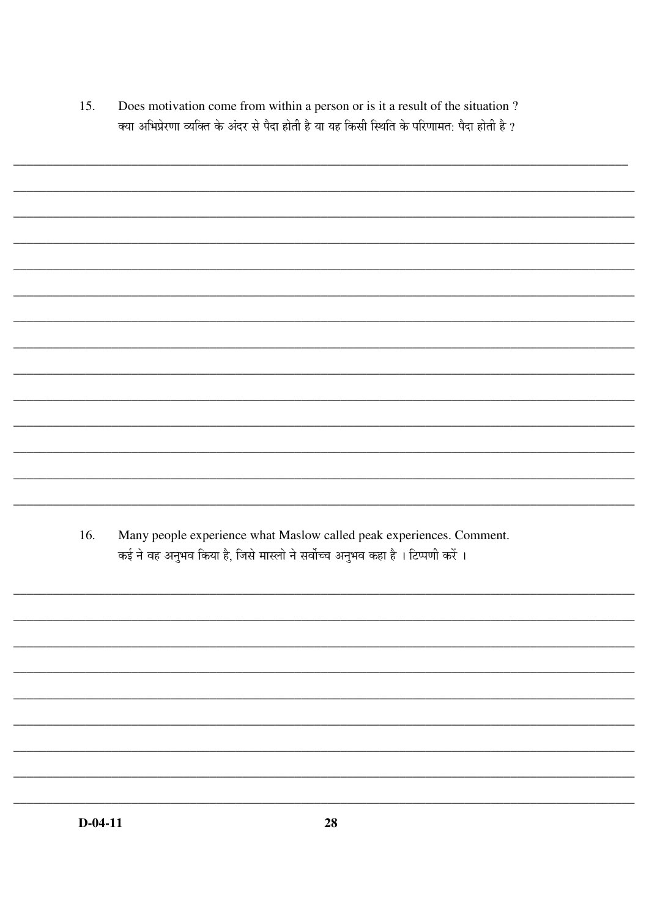Does motivation come from within a person or is it a result of the situation?  $15.$ क्या अभिप्रेरणा व्यक्ति के अंदर से पैदा होती है या यह किसी स्थिति के परिणामत: पैदा होती है ?

Many people experience what Maslow called peak experiences. Comment. 16. कई ने वह अनुभव किया है, जिसे मास्लो ने सर्वोच्च अनुभव कहा है । टिप्पणी करें ।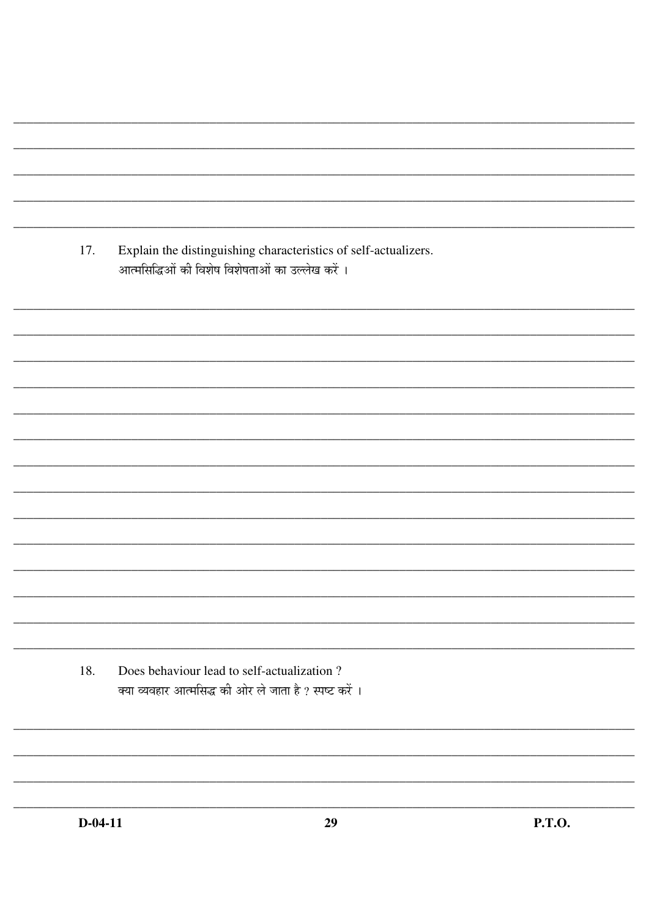| 17. | Explain the distinguishing characteristics of self-actualizers.<br>आत्मसिद्धिओं की विशेष विशेषताओं का उल्लेख करें । |
|-----|---------------------------------------------------------------------------------------------------------------------|
|     |                                                                                                                     |
|     |                                                                                                                     |
|     |                                                                                                                     |
|     |                                                                                                                     |
|     |                                                                                                                     |
|     |                                                                                                                     |
|     |                                                                                                                     |
|     |                                                                                                                     |
|     |                                                                                                                     |
|     |                                                                                                                     |
|     |                                                                                                                     |
|     |                                                                                                                     |
|     |                                                                                                                     |
|     |                                                                                                                     |
| 18. | Does behaviour lead to self-actualization?<br>क्या व्यवहार आत्मसिद्ध की ओर ले जाता है ? स्पष्ट करें ।               |
|     |                                                                                                                     |
|     |                                                                                                                     |
|     |                                                                                                                     |
|     |                                                                                                                     |
|     |                                                                                                                     |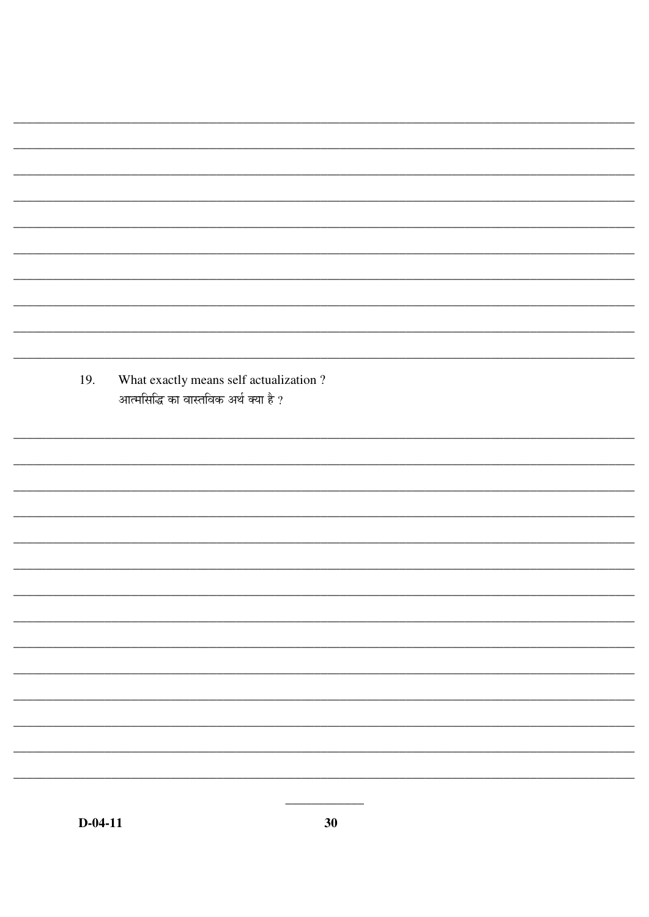19. What exactly means self actualization? आत्मसिद्धि का वास्तविक अर्थ क्या है ?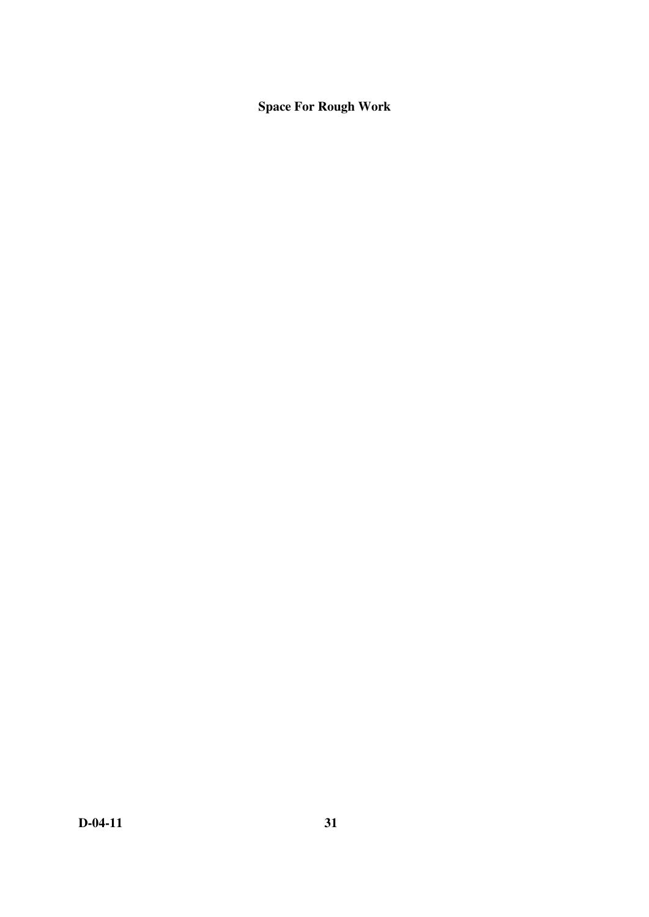**Space For Rough Work**

**D-04-11** 31